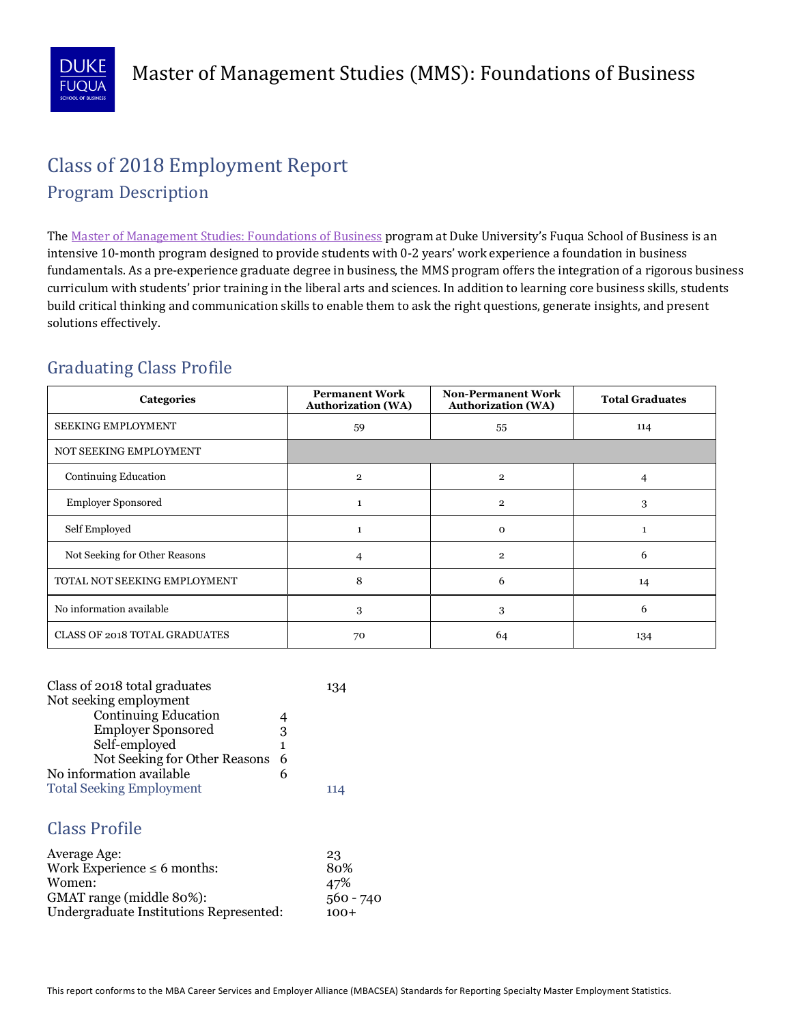

# **Class of 2018 Employment Report** Program Description

The Master of Management Studies: Foundations of Business program at Duke University's Fuqua School of Business is an intensive 10-month program designed to provide students with 0-2 years' work experience a foundation in business fundamentals. As a pre-experience graduate degree in business, the MMS program offers the integration of a rigorous business curriculum with students' prior training in the liberal arts and sciences. In addition to learning core business skills, students build critical thinking and communication skills to enable them to ask the right questions, generate insights, and present solutions effectively.

## Graduating Class Profile

| Categories                           | <b>Permanent Work</b><br><b>Authorization (WA)</b> | <b>Non-Permanent Work</b><br><b>Authorization (WA)</b> | <b>Total Graduates</b> |
|--------------------------------------|----------------------------------------------------|--------------------------------------------------------|------------------------|
| <b>SEEKING EMPLOYMENT</b>            | 59                                                 | 55                                                     | 114                    |
| NOT SEEKING EMPLOYMENT               |                                                    |                                                        |                        |
| Continuing Education                 | $\overline{2}$                                     | $\overline{2}$                                         | 4                      |
| <b>Employer Sponsored</b>            |                                                    | $\overline{2}$                                         | 3                      |
| Self Employed                        |                                                    | $\Omega$                                               | 1                      |
| Not Seeking for Other Reasons        | 4                                                  | $\overline{2}$                                         | 6                      |
| TOTAL NOT SEEKING EMPLOYMENT         | 8                                                  | 6                                                      | 14                     |
| No information available             | 3                                                  | 3                                                      | 6                      |
| <b>CLASS OF 2018 TOTAL GRADUATES</b> | 70                                                 | 64                                                     | 134                    |

| Class of 2018 total graduates   |   |  |  |  |
|---------------------------------|---|--|--|--|
| Not seeking employment          |   |  |  |  |
| <b>Continuing Education</b>     |   |  |  |  |
| <b>Employer Sponsored</b>       | 3 |  |  |  |
| Self-employed                   | 1 |  |  |  |
| Not Seeking for Other Reasons 6 |   |  |  |  |
| No information available        | 6 |  |  |  |
| <b>Total Seeking Employment</b> |   |  |  |  |

#### Class Profile

| Average Age:                            | 23          |
|-----------------------------------------|-------------|
| Work Experience $\leq 6$ months:        | 80%         |
| Women:                                  | 47%         |
| GMAT range (middle 80%):                | $560 - 740$ |
| Undergraduate Institutions Represented: | $100+$      |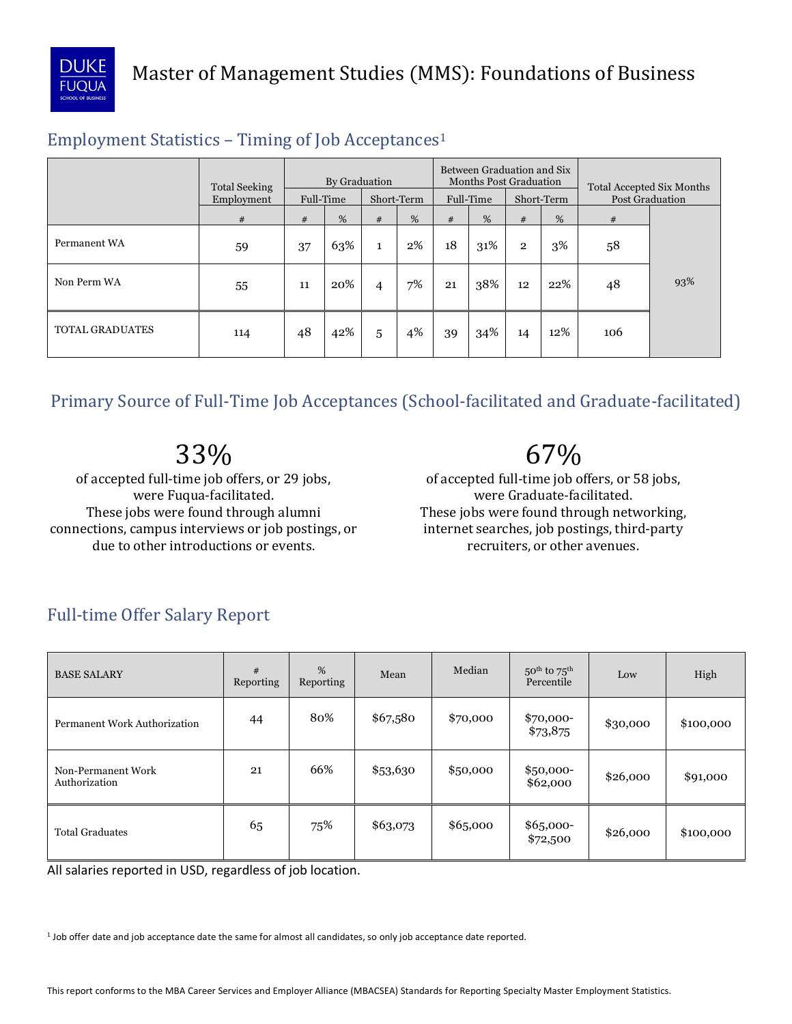

## Employment Statistics – Timing of Job Acceptances1

|                        | <b>Total Seeking</b><br>Employment | By Graduation<br>Full-Time<br>Short-Term |     |                | Between Graduation and Six<br><b>Months Post Graduation</b><br>Full-Time<br>Short-Term |    |     |                | <b>Total Accepted Six Months</b><br><b>Post Graduation</b> |     |     |
|------------------------|------------------------------------|------------------------------------------|-----|----------------|----------------------------------------------------------------------------------------|----|-----|----------------|------------------------------------------------------------|-----|-----|
|                        | #                                  | #                                        | %   | #              | %                                                                                      | #  | %   | #              | %                                                          | #   |     |
| Permanent WA           | 59                                 | 37                                       | 63% | $\mathbf{1}$   | $2\%$                                                                                  | 18 | 31% | $\overline{2}$ | 3%                                                         | 58  |     |
| Non Perm WA            | 55                                 | 11                                       | 20% | $\overline{4}$ | 7%                                                                                     | 21 | 38% | 12             | 22%                                                        | 48  | 93% |
| <b>TOTAL GRADUATES</b> | 114                                | 48                                       | 42% | 5              | 4%                                                                                     | 39 | 34% | 14             | 12%                                                        | 106 |     |

Primary Source of Full-Time Job Acceptances (School-facilitated and Graduate-facilitated)

33%

67%

of accepted full-time job offers, or 29 jobs, were Fuqua-facilitated. These jobs were found through alumni connections, campus interviews or job postings, or due to other introductions or events.

of accepted full-time job offers, or 58 jobs, were Graduate-facilitated. These jobs were found through networking, internet searches, job postings, third-party recruiters, or other avenues.

| <b>BASE SALARY</b>                  | #<br>Reporting | %<br>Reporting | Mean     | Median   | $50th$ to $75th$<br>Percentile | Low      | High      |
|-------------------------------------|----------------|----------------|----------|----------|--------------------------------|----------|-----------|
| <b>Permanent Work Authorization</b> | 44             | 80%            | \$67,580 | \$70,000 | \$70,000-<br>\$73,875          | \$30,000 | \$100,000 |
| Non-Permanent Work<br>Authorization | 21             | 66%            | \$53,630 | \$50,000 | $$50,000-$<br>\$62,000         | \$26,000 | \$91,000  |
| <b>Total Graduates</b>              | 65             | 75%            | \$63,073 | \$65,000 | \$65,000-<br>\$72,500          | \$26,000 | \$100,000 |

# Full-time Offer Salary Report

All salaries reported in USD, regardless of job location.

<sup>1</sup> Job offer date and job acceptance date the same for almost all candidates, so only job acceptance date reported.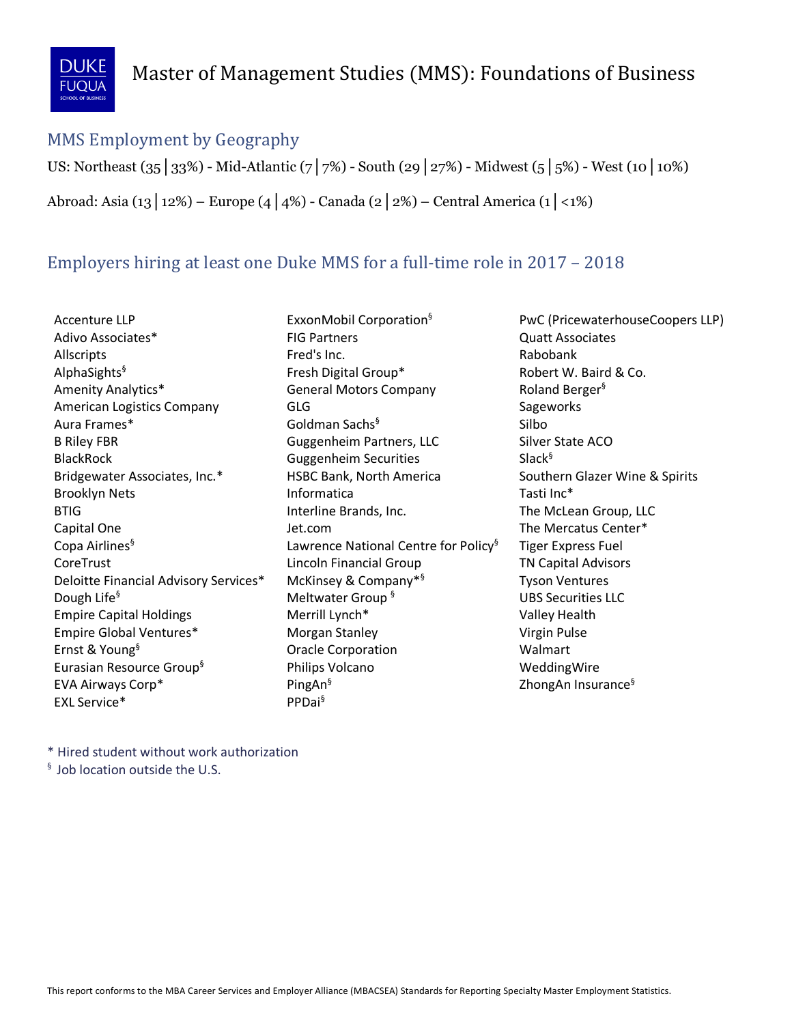

#### MMS Employment by Geography

US: Northeast (35│33%) - Mid-Atlantic (7│7%) - South (29│27%) - Midwest (5│5%) - West (10│10%)

Abroad: Asia (13│12%) – Europe (4│4%) - Canada (2│2%) – Central America (1│<1%)

## Employers hiring at least one Duke MMS for a full-time role in 2017 – 2018

Bridgewater Associates, Inc.\* Ernst & Young<sup>§</sup> EVA Airways Corp\* EXL Service\* PPDai<sup>§</sup>

AlphaSights<sup>§</sup> Fresh Digital Group\* Robert W. Baird & Co. Amenity Analytics\* The Seneral Motors Company The Roland Berger<sup>§</sup> American Logistics Company GLG Government Company Sageworks B Riley FBR **Guggenheim Partners, LLC** Silver State ACO Interline Brands, Inc. Copa Airlines<sup>§</sup> 1992 Lawrence National Centre for Policy<sup>§</sup> Tiger Express Fuel CoreTrust **Collect CoreTrust** Lincoln Financial Group **TN Capital Advisors** Deloitte Financial Advisory Services\* McKinsey & Company<sup>\*§</sup> Tyson Ventures Dough Life<sup>§</sup> The Meltwater Group <sup>§</sup> The Meltwater Group Equation CDBS Securities LLC Empire Capital Holdings **Merrill Lynch<sup>\*</sup>** Merrill Lynch<sup>\*</sup> Valley Health Empire Global Ventures\* The Morgan Stanley Controllery Construction Virgin Pulse Eurasian Resource Group<sup>§</sup> Thilips Volcano New Your Americano Wedding Wire Accenture LLP **EXXONMObil Corporation**<sup>§</sup> PWC (PricewaterhouseCoopers LLP) Adivo Associates\* The Second Contract Report of Partners and Adivo Associates Associates Adivo Associates Allscripts **Fred's Inc.** Fred's Inc. The Babobank Aura Frames\* Goldman Sachs§ Silbo BlackRock Guggenheim Securities Slack§ HSBC Bank, North America Southern Glazer Wine & Spirits Brooklyn Nets **Informatica** Tasti Inc<sup>\*</sup> BTIG **Interline Brands, Inc.** The McLean Group, LLC Capital One Capital One Capital One Jet.com Capital One The Mercatus Center\* Oracle Corporation **Walmart**  $PingAn<sup>§</sup>$  2hongAn Insurance<sup>§</sup>

\* Hired student without work authorization

§ Job location outside the U.S.